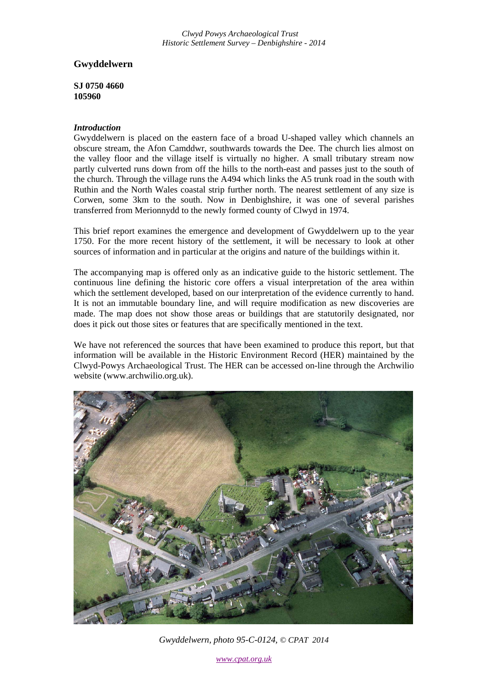*Clwyd Powys Archaeological Trust Historic Settlement Survey – Denbighshire - 2014*

# **Gwyddelwern**

**SJ 0750 4660 105960**

### *Introduction*

Gwyddelwern is placed on the eastern face of a broad U-shaped valley which channels an obscure stream, the Afon Camddwr, southwards towards the Dee. The church lies almost on the valley floor and the village itself is virtually no higher. A small tributary stream now partly culverted runs down from off the hills to the north-east and passes just to the south of the church. Through the village runs the A494 which links the A5 trunk road in the south with Ruthin and the North Wales coastal strip further north. The nearest settlement of any size is Corwen, some 3km to the south. Now in Denbighshire, it was one of several parishes transferred from Merionnydd to the newly formed county of Clwyd in 1974.

This brief report examines the emergence and development of Gwyddelwern up to the year 1750. For the more recent history of the settlement, it will be necessary to look at other sources of information and in particular at the origins and nature of the buildings within it.

The accompanying map is offered only as an indicative guide to the historic settlement. The continuous line defining the historic core offers a visual interpretation of the area within which the settlement developed, based on our interpretation of the evidence currently to hand. It is not an immutable boundary line, and will require modification as new discoveries are made. The map does not show those areas or buildings that are statutorily designated, nor does it pick out those sites or features that are specifically mentioned in the text.

We have not referenced the sources that have been examined to produce this report, but that information will be available in the Historic Environment Record (HER) maintained by the Clwyd-Powys Archaeological Trust. The HER can be accessed on-line through the Archwilio website (www.archwilio.org.uk).



*Gwyddelwern, photo 95-C-0124, © CPAT 2014*

*www.cpat.org.uk*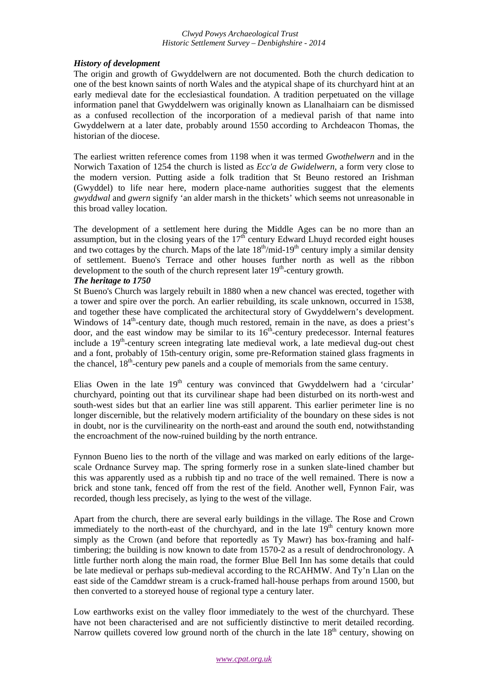### *Clwyd Powys Archaeological Trust Historic Settlement Survey – Denbighshire - 2014*

# *History of development*

The origin and growth of Gwyddelwern are not documented. Both the church dedication to one of the best known saints of north Wales and the atypical shape of its churchyard hint at an early medieval date for the ecclesiastical foundation. A tradition perpetuated on the village information panel that Gwyddelwern was originally known as Llanalhaiarn can be dismissed as a confused recollection of the incorporation of a medieval parish of that name into Gwyddelwern at a later date, probably around 1550 according to Archdeacon Thomas, the historian of the diocese.

The earliest written reference comes from 1198 when it was termed *Gwothelwern* and in the Norwich Taxation of 1254 the church is listed as *Ecc'a de Gwidelwern*, a form very close to the modern version. Putting aside a folk tradition that St Beuno restored an Irishman (Gwyddel) to life near here, modern place-name authorities suggest that the elements *gwyddwal* and *gwern* signify 'an alder marsh in the thickets' which seems not unreasonable in this broad valley location.

The development of a settlement here during the Middle Ages can be no more than an assumption, but in the closing years of the  $17<sup>th</sup>$  century Edward Lhuyd recorded eight houses and two cottages by the church. Maps of the late  $18<sup>th</sup>/mid-19<sup>th</sup>$  century imply a similar density of settlement. Bueno's Terrace and other houses further north as well as the ribbon development to the south of the church represent later  $19<sup>th</sup>$ -century growth.

# *The heritage to 1750*

St Bueno's Church was largely rebuilt in 1880 when a new chancel was erected, together with a tower and spire over the porch. An earlier rebuilding, its scale unknown, occurred in 1538, and together these have complicated the architectural story of Gwyddelwern's development. Windows of  $14<sup>th</sup>$ -century date, though much restored, remain in the nave, as does a priest's door, and the east window may be similar to its  $16<sup>th</sup>$ -century predecessor. Internal features include a  $19<sup>th</sup>$ -century screen integrating late medieval work, a late medieval dug-out chest and a font, probably of 15th-century origin, some pre-Reformation stained glass fragments in the chancel, 18th-century pew panels and a couple of memorials from the same century.

Elias Owen in the late  $19<sup>th</sup>$  century was convinced that Gwyddelwern had a 'circular' churchyard, pointing out that its curvilinear shape had been disturbed on its north-west and south-west sides but that an earlier line was still apparent. This earlier perimeter line is no longer discernible, but the relatively modern artificiality of the boundary on these sides is not in doubt, nor is the curvilinearity on the north-east and around the south end, notwithstanding the encroachment of the now-ruined building by the north entrance.

Fynnon Bueno lies to the north of the village and was marked on early editions of the largescale Ordnance Survey map. The spring formerly rose in a sunken slate-lined chamber but this was apparently used as a rubbish tip and no trace of the well remained. There is now a brick and stone tank, fenced off from the rest of the field. Another well, Fynnon Fair, was recorded, though less precisely, as lying to the west of the village.

Apart from the church, there are several early buildings in the village. The Rose and Crown immediately to the north-east of the churchyard, and in the late  $19<sup>th</sup>$  century known more simply as the Crown (and before that reportedly as Ty Mawr) has box-framing and halftimbering; the building is now known to date from 1570-2 as a result of dendrochronology. A little further north along the main road, the former Blue Bell Inn has some details that could be late medieval or perhaps sub-medieval according to the RCAHMW. And Ty'n Llan on the east side of the Camddwr stream is a cruck-framed hall-house perhaps from around 1500, but then converted to a storeyed house of regional type a century later.

Low earthworks exist on the valley floor immediately to the west of the churchyard. These have not been characterised and are not sufficiently distinctive to merit detailed recording. Narrow quillets covered low ground north of the church in the late  $18<sup>th</sup>$  century, showing on